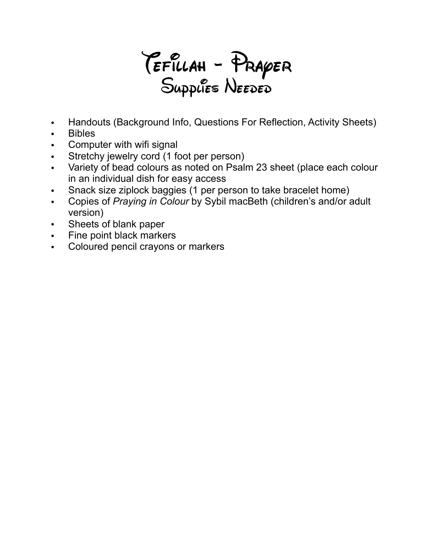Tefillah - Prayer Supplies Needed

- Handouts (Background Info, Questions For Reflection, Activity Sheets)
- Bibles
- Computer with wifi signal
- Stretchy jewelry cord (1 foot per person)
- Variety of bead colours as noted on Psalm 23 sheet (place each colour in an individual dish for easy access
- Snack size ziplock baggies (1 per person to take bracelet home)
- Copies of *Praying in Colour* by Sybil macBeth (children's and/or adult version)
- Sheets of blank paper
- Fine point black markers
- Coloured pencil crayons or markers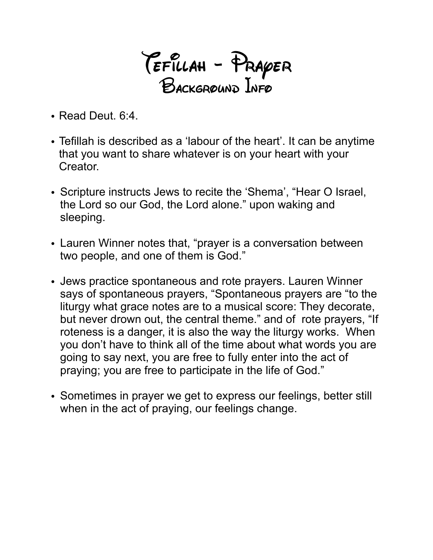Tefillah - Prayer Background Info

- Read Deut. 6:4.
- Tefillah is described as a 'labour of the heart'. It can be anytime that you want to share whatever is on your heart with your Creator.
- Scripture instructs Jews to recite the 'Shema', "Hear O Israel, the Lord so our God, the Lord alone." upon waking and sleeping.
- Lauren Winner notes that, "prayer is a conversation between two people, and one of them is God."
- Jews practice spontaneous and rote prayers. Lauren Winner says of spontaneous prayers, "Spontaneous prayers are "to the liturgy what grace notes are to a musical score: They decorate, but never drown out, the central theme." and of rote prayers, "If roteness is a danger, it is also the way the liturgy works. When you don't have to think all of the time about what words you are going to say next, you are free to fully enter into the act of praying; you are free to participate in the life of God."
- Sometimes in prayer we get to express our feelings, better still when in the act of praying, our feelings change.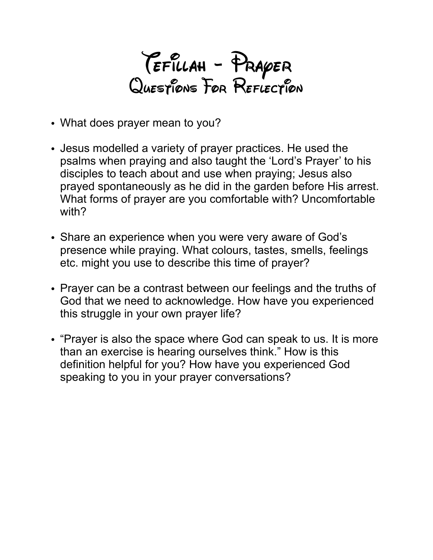Tefillah - Prayer Questions For Reflection

- What does prayer mean to you?
- Jesus modelled a variety of prayer practices. He used the psalms when praying and also taught the 'Lord's Prayer' to his disciples to teach about and use when praying; Jesus also prayed spontaneously as he did in the garden before His arrest. What forms of prayer are you comfortable with? Uncomfortable with?
- Share an experience when you were very aware of God's presence while praying. What colours, tastes, smells, feelings etc. might you use to describe this time of prayer?
- Prayer can be a contrast between our feelings and the truths of God that we need to acknowledge. How have you experienced this struggle in your own prayer life?
- "Prayer is also the space where God can speak to us. It is more than an exercise is hearing ourselves think." How is this definition helpful for you? How have you experienced God speaking to you in your prayer conversations?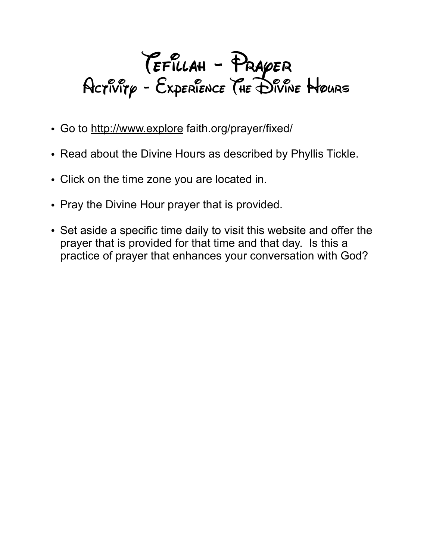## TEFILLAH - PRAYER<br>Activity - Experience (HE Divine Hours

- Go to <http://www.explore> faith.org/prayer/fixed/
- Read about the Divine Hours as described by Phyllis Tickle.
- Click on the time zone you are located in.
- Pray the Divine Hour prayer that is provided.
- Set aside a specific time daily to visit this website and offer the prayer that is provided for that time and that day. Is this a practice of prayer that enhances your conversation with God?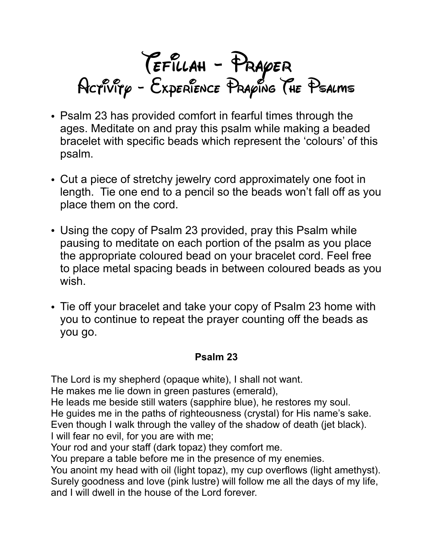

- Psalm 23 has provided comfort in fearful times through the ages. Meditate on and pray this psalm while making a beaded bracelet with specific beads which represent the 'colours' of this psalm.
- Cut a piece of stretchy jewelry cord approximately one foot in length. Tie one end to a pencil so the beads won't fall off as you place them on the cord.
- Using the copy of Psalm 23 provided, pray this Psalm while pausing to meditate on each portion of the psalm as you place the appropriate coloured bead on your bracelet cord. Feel free to place metal spacing beads in between coloured beads as you wish.
- Tie off your bracelet and take your copy of Psalm 23 home with you to continue to repeat the prayer counting off the beads as you go.

## **Psalm 23**

The Lord is my shepherd (opaque white), I shall not want. He makes me lie down in green pastures (emerald), He leads me beside still waters (sapphire blue), he restores my soul. He guides me in the paths of righteousness (crystal) for His name's sake. Even though I walk through the valley of the shadow of death (jet black). I will fear no evil, for you are with me;

Your rod and your staff (dark topaz) they comfort me.

You prepare a table before me in the presence of my enemies.

You anoint my head with oil (light topaz), my cup overflows (light amethyst). Surely goodness and love (pink lustre) will follow me all the days of my life, and I will dwell in the house of the Lord forever.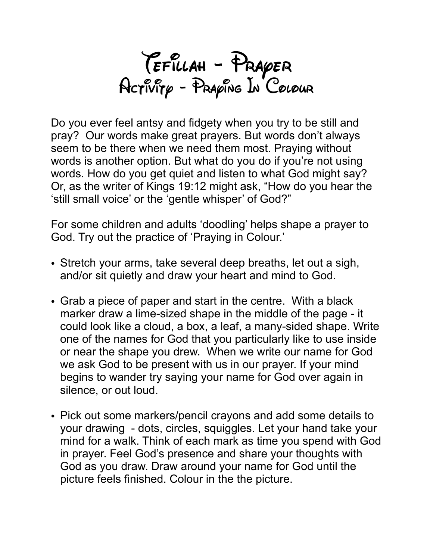TEFILLAH - PRAYER<br>Activity - Praying In Colour

Do you ever feel antsy and fidgety when you try to be still and pray? Our words make great prayers. But words don't always seem to be there when we need them most. Praying without words is another option. But what do you do if you're not using words. How do you get quiet and listen to what God might say? Or, as the writer of Kings 19:12 might ask, "How do you hear the 'still small voice' or the 'gentle whisper' of God?"

For some children and adults 'doodling' helps shape a prayer to God. Try out the practice of 'Praying in Colour.'

- Stretch your arms, take several deep breaths, let out a sigh, and/or sit quietly and draw your heart and mind to God.
- Grab a piece of paper and start in the centre. With a black marker draw a lime-sized shape in the middle of the page - it could look like a cloud, a box, a leaf, a many-sided shape. Write one of the names for God that you particularly like to use inside or near the shape you drew. When we write our name for God we ask God to be present with us in our prayer. If your mind begins to wander try saying your name for God over again in silence, or out loud.
- Pick out some markers/pencil crayons and add some details to your drawing - dots, circles, squiggles. Let your hand take your mind for a walk. Think of each mark as time you spend with God in prayer. Feel God's presence and share your thoughts with God as you draw. Draw around your name for God until the picture feels finished. Colour in the the picture.